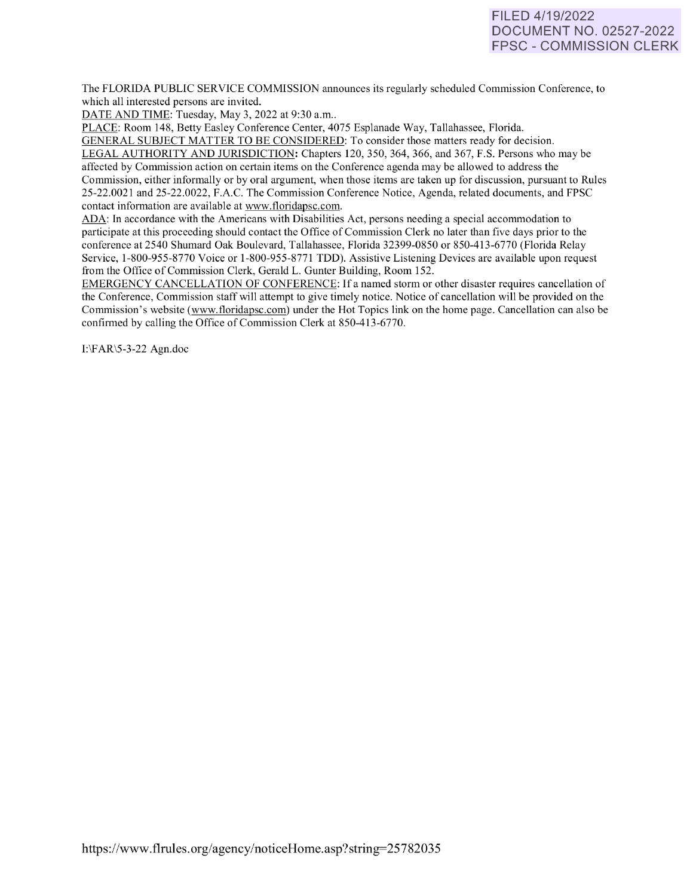# FILED 4/19/2022 DOCUMENT NO. 02527-2022 FPSC - COMMISSION CLERK

The FLORIDA PUBLIC SERVICE COMMISSION announces its regularly scheduled Commission Conference, to which all interested persons are invited.

DATE AND TIME: Tuesday, May 3, 2022 at 9:30 a.m..

PLACE: Room 148, Betty Easley Conference Center, 4075 Esplanade Way, Tallahassee, Florida.

GENERAL SUBJECT MATTER TO BE CONSIDERED: To consider those matters ready for decision. LEGAL AUTHORITY AND JURISDICTION: Chapters 120, 350, 364, 366, and 367, F.S. Persons who may be affected by Commission action on certain items on the Conference agenda may be allowed to address the Commission, either informally or by oral argument, when those items are taken up for discussion, pursuant to Rules 25-22.0021 and 25-22.0022, F.A.C. The Commission Conference Notice, Agenda, related documents, and FPSC contact information are available at [www.floridapsc.com.](http://www.floridapsc.com/) 

ADA: In accordance with the Americans with Disabilities Act, persons needing a special accommodation to participate at this proceeding should contact the Office of Commission Clerk no later than five days prior to the conference at 2540 Shumard Oak Boulevard, Tallahassee, Florida 32399-0850 or 850-41 3-6770 (Florida Relay Service, 1-800-955-8770 Voice or 1-800-955-8771 TDD). Assistive Listening Devices are available upon request from the Office of Commission Clerk, Gerald L. Gunter Building, Room 152.

EMERGENCY CANCELLATION OF CONFERENCE: If a named storm or other disaster requires cancellation of the Conference, Commission staff will attempt to give timely notice. Notice of cancellation will be provided on the Commission's website [\(www.floridapsc.com\)](http://www.floridapsc.com/) under the Hot Topics link on the home page. Cancellation can also be confirmed by calling the Office of Commission Clerk at 850-413-6770.

I:\FAR\5-3-22 Agn.doc